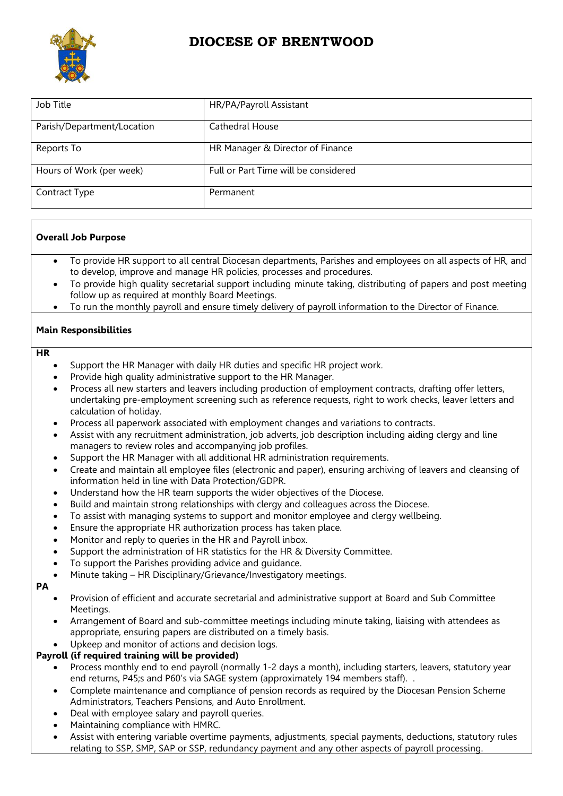

# **DIOCESE OF BRENTWOOD**

| Job Title                  | HR/PA/Payroll Assistant              |
|----------------------------|--------------------------------------|
| Parish/Department/Location | Cathedral House                      |
| Reports To                 | HR Manager & Director of Finance     |
| Hours of Work (per week)   | Full or Part Time will be considered |
| Contract Type              | Permanent                            |

## **Overall Job Purpose**

- To provide HR support to all central Diocesan departments, Parishes and employees on all aspects of HR, and to develop, improve and manage HR policies, processes and procedures.
- To provide high quality secretarial support including minute taking, distributing of papers and post meeting follow up as required at monthly Board Meetings.
- To run the monthly payroll and ensure timely delivery of payroll information to the Director of Finance.

## **Main Responsibilities**

#### **HR**

- Support the HR Manager with daily HR duties and specific HR project work.
- Provide high quality administrative support to the HR Manager.
- Process all new starters and leavers including production of employment contracts, drafting offer letters, undertaking pre-employment screening such as reference requests, right to work checks, leaver letters and calculation of holiday.
- Process all paperwork associated with employment changes and variations to contracts.
- Assist with any recruitment administration, job adverts, job description including aiding clergy and line managers to review roles and accompanying job profiles.
- Support the HR Manager with all additional HR administration requirements.
- Create and maintain all employee files (electronic and paper), ensuring archiving of leavers and cleansing of information held in line with Data Protection/GDPR.
- Understand how the HR team supports the wider objectives of the Diocese.
- Build and maintain strong relationships with clergy and colleagues across the Diocese.
- To assist with managing systems to support and monitor employee and clergy wellbeing.
- Ensure the appropriate HR authorization process has taken place.
- Monitor and reply to queries in the HR and Payroll inbox.
- Support the administration of HR statistics for the HR & Diversity Committee.
- To support the Parishes providing advice and guidance.
- Minute taking HR Disciplinary/Grievance/Investigatory meetings.

#### **PA**

- Provision of efficient and accurate secretarial and administrative support at Board and Sub Committee Meetings.
- Arrangement of Board and sub-committee meetings including minute taking, liaising with attendees as appropriate, ensuring papers are distributed on a timely basis.
- Upkeep and monitor of actions and decision logs.

## **Payroll (if required training will be provided)**

- Process monthly end to end payroll (normally 1-2 days a month), including starters, leavers, statutory year end returns, P45;s and P60's via SAGE system (approximately 194 members staff). .
- Complete maintenance and compliance of pension records as required by the Diocesan Pension Scheme Administrators, Teachers Pensions, and Auto Enrollment.
- Deal with employee salary and payroll queries.
- Maintaining compliance with HMRC.
- Assist with entering variable overtime payments, adjustments, special payments, deductions, statutory rules relating to SSP, SMP, SAP or SSP, redundancy payment and any other aspects of payroll processing.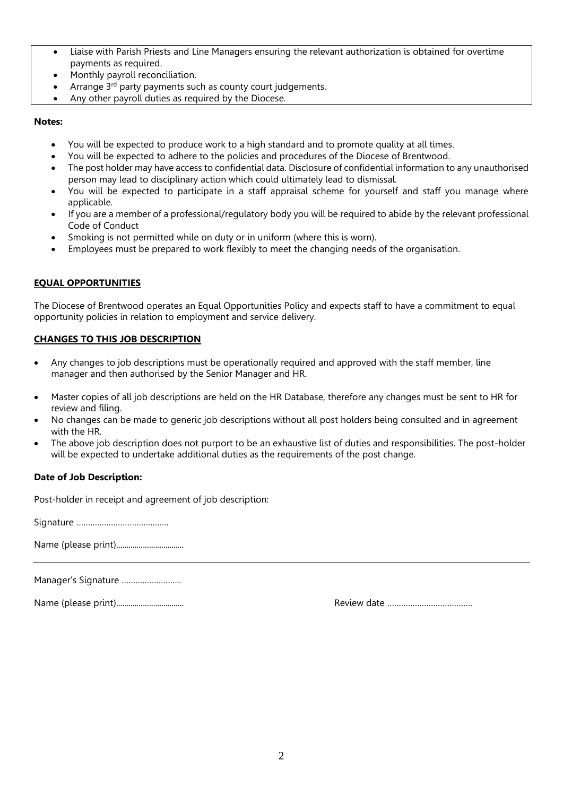- Liaise with Parish Priests and Line Managers ensuring the relevant authorization is obtained for overtime payments as required.
- Monthly payroll reconciliation.
- Arrange 3<sup>rd</sup> party payments such as county court judgements.
- Any other payroll duties as required by the Diocese.

#### **Notes:**

- You will be expected to produce work to a high standard and to promote quality at all times.
- You will be expected to adhere to the policies and procedures of the Diocese of Brentwood.
- The post holder may have access to confidential data. Disclosure of confidential information to any unauthorised person may lead to disciplinary action which could ultimately lead to dismissal.
- You will be expected to participate in a staff appraisal scheme for yourself and staff you manage where applicable.
- If you are a member of a professional/regulatory body you will be required to abide by the relevant professional Code of Conduct
- Smoking is not permitted while on duty or in uniform (where this is worn).
- Employees must be prepared to work flexibly to meet the changing needs of the organisation.

## **EQUAL OPPORTUNITIES**

The Diocese of Brentwood operates an Equal Opportunities Policy and expects staff to have a commitment to equal opportunity policies in relation to employment and service delivery.

## **CHANGES TO THIS JOB DESCRIPTION**

- Any changes to job descriptions must be operationally required and approved with the staff member, line manager and then authorised by the Senior Manager and HR.
- Master copies of all job descriptions are held on the HR Database, therefore any changes must be sent to HR for review and filing.
- No changes can be made to generic job descriptions without all post holders being consulted and in agreement with the HR.
- The above job description does not purport to be an exhaustive list of duties and responsibilities. The post-holder will be expected to undertake additional duties as the requirements of the post change.

## **Date of Job Description:**

Post-holder in receipt and agreement of job description:

Signature ………………………………….

Name (please print).................................

Manager's Signature ……………………..

Name (please print)................................. Review date ……………………………….